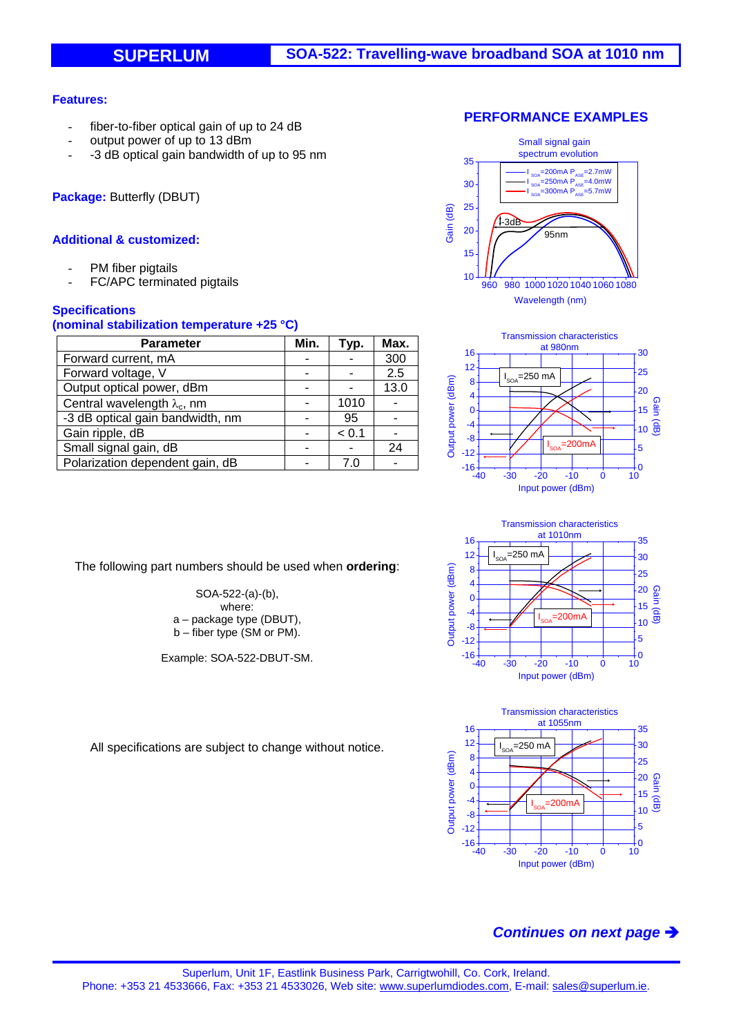### **Features:**

- fiber-to-fiber optical gain of up to 24 dB
- output power of up to 13 dBm
- -3 dB optical gain bandwidth of up to 95 nm

**Package:** Butterfly (DBUT)

### **Additional & customized:**

- PM fiber pigtails
- FC/APC terminated pigtails

## **Specifications**

### **(nominal stabilization temperature +25 °C)**

| Parameter                           | Min. | Typ.  | Max. |
|-------------------------------------|------|-------|------|
| Forward current, mA                 |      |       | 300  |
| Forward voltage, V                  |      |       | 2.5  |
| Output optical power, dBm           |      |       | 13.0 |
| Central wavelength $\lambda_c$ , nm |      | 1010  |      |
| -3 dB optical gain bandwidth, nm    |      | 95    |      |
| Gain ripple, dB                     |      | < 0.1 |      |
| Small signal gain, dB               |      |       | 24   |
| Polarization dependent gain, dB     |      | 7 (   |      |

The following part numbers should be used when **ordering**:

SOA-522-(a)-(b), where: a – package type (DBUT), b – fiber type (SM or PM).

Example: SOA-522-DBUT-SM.









All specifications are subject to change without notice.

# *Continues on next page*

#### **PERFORMANCE EXAMPLES**